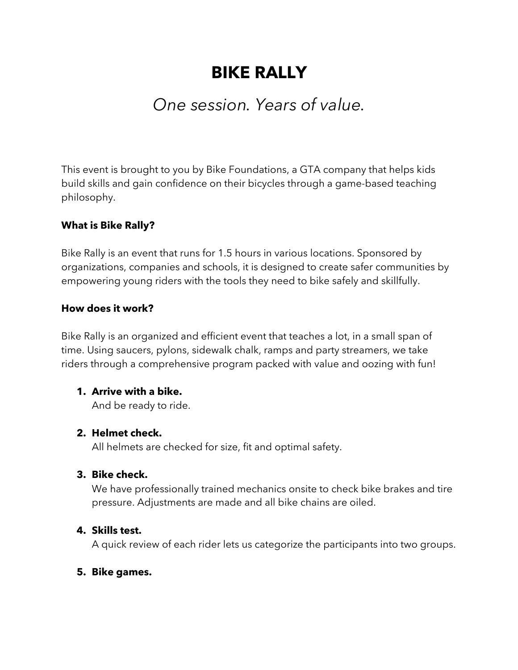# **BIKE RALLY**

## *One session. Years of value.*

This event is brought to you by Bike Foundations, a GTA company that helps kids build skills and gain confidence on their bicycles through a game-based teaching philosophy.

#### **What is Bike Rally?**

Bike Rally is an event that runs for 1.5 hours in various locations. Sponsored by organizations, companies and schools, it is designed to create safer communities by empowering young riders with the tools they need to bike safely and skillfully.

#### **How does it work?**

Bike Rally is an organized and efficient event that teaches a lot, in a small span of time. Using saucers, pylons, sidewalk chalk, ramps and party streamers, we take riders through a comprehensive program packed with value and oozing with fun!

#### **1. Arrive with a bike.**

And be ready to ride.

#### **2. Helmet check.**

All helmets are checked for size, fit and optimal safety.

#### **3. Bike check.**

We have professionally trained mechanics onsite to check bike brakes and tire pressure. Adjustments are made and all bike chains are oiled.

#### **4. Skills test.**

A quick review of each rider lets us categorize the participants into two groups.

#### **5. Bike games.**